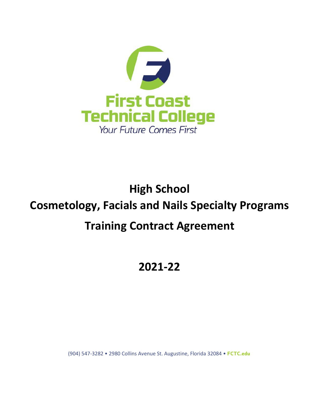

# **High School Cosmetology, Facials and Nails Specialty Programs Training Contract Agreement**

# **2021-22**

(904) 547-3282 • 2980 Collins Avenue St. Augustine, Florida 32084 • FCTC.edu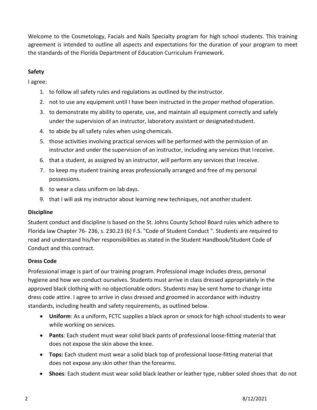Welcome to the Cosmetology, Facials and Nails Specialty program for high school students. This training agreement is intended to outline all aspects and expectations for the duration of your program to meet the standards of the Florida Department of Education Curriculum Framework.

# **Safety**

I agree:

- 1. to follow all safety rules and regulations as outlined by the instructor.
- 2. not to use any equipment until I have been instructed in the proper method ofoperation.
- 3. to demonstrate my ability to operate, use, and maintain all equipment correctly and safely under the supervision of an instructor, laboratory assistant or designatedstudent.
- 4. to abide by all safety rules when using chemicals.
- 5. those activities involving practical services will be performed with the permission of an instructor and under the supervision of an instructor, including any services that Ireceive.
- 6. that a student, as assigned by an instructor, will perform any services that Ireceive.
- 7. to keep my student training areas professionally arranged and free of my personal possessions.
- 8. to wear a class uniform on lab days.
- 9. that I will ask my instructor about learning new techniques, not anotherstudent.

# **Discipline**

Student conduct and discipline is based on the St. Johns County School Board rules which adhere to Florida law Chapter 76- 236, s. 230.23 (6) F.S. "Code of Student Conduct ". Students are required to read and understand his/her responsibilities as stated in the Student Handbook/Student Code of Conduct and this contract.

# **Dress Code**

Professional image is part of our training program. Professional image includes dress, personal hygiene and how we conduct ourselves. Students must arrive in class dressed appropriately in the approved black clothing with no objectionable odors. Students may be sent home to change into dress code attire. I agree to arrive in class dressed and groomed in accordance with industry standards, including health and safety requirements, as outlined below.

- **Uniform**: As a uniform, FCTC supplies a black apron or smock for high school students to wear while working on services.
- **Pants**: Each student must wear solid black pants of professional loose-fitting material that does not expose the skin above the knee.
- **Tops:** Each student must wear a solid black top of professional loose-fitting material that does not expose any skin other than the forearms.
- **Shoes**: Each student must wear solid black leather or leather type, rubber soled shoes that do not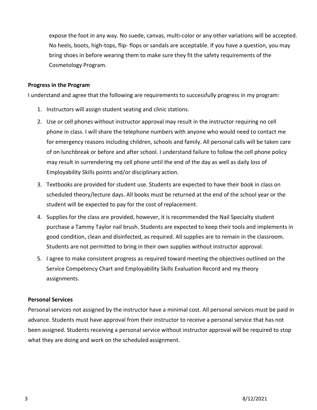expose the foot in any way. No suede, canvas, multi-color or any other variations will be accepted. No heels, boots, high-tops, flip- flops or sandals are acceptable. If you have a question, you may bring shoes in before wearing them to make sure they fit the safety requirements of the Cosmetology Program.

#### **Progress in the Program**

I understand and agree that the following are requirements to successfully progress in my program:

- 1. Instructors will assign student seating and clinic stations.
- 2. Use or cell phones without instructor approval may result in the instructor requiring no cell phone in class. I will share the telephone numbers with anyone who would need to contact me for emergency reasons including children, schools and family. All personal calls will be taken care of on lunchbreak or before and after school. I understand failure to follow the cell phone policy may result in surrendering my cell phone until the end of the day as well as daily loss of Employability Skills points and/or disciplinary action.
- 3. Textbooks are provided for student use. Students are expected to have their book in class on scheduled theory/lecture days. All books must be returned at the end of the school year or the student will be expected to pay for the cost of replacement.
- 4. Supplies for the class are provided, however, it is recommended the Nail Specialty student purchase a Tammy Taylor nail brush. Students are expected to keep their tools and implements in good condition, clean and disinfected, as required. All supplies are to remain in the classroom. Students are not permitted to bring in their own supplies without instructor approval.
- 5. I agree to make consistent progress as required toward meeting the objectives outlined on the Service Competency Chart and Employability Skills Evaluation Record and my theory assignments.

#### **Personal Services**

Personal services not assigned by the instructor have a minimal cost. All personal services must be paid in advance. Students must have approval from their instructor to receive a personal service that has not been assigned. Students receiving a personal service without instructor approval will be required to stop what they are doing and work on the scheduled assignment.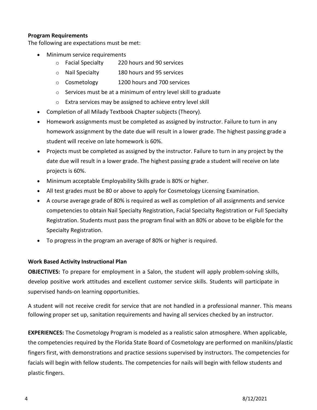#### **Program Requirements**

The following are expectations must be met:

- Minimum service requirements
	- o Facial Specialty 220 hours and 90 services
	- o Nail Specialty 180 hours and 95 services
	- o Cosmetology 1200 hours and 700 services
	- o Services must be at a minimum of entry level skill to graduate
	- o Extra services may be assigned to achieve entry level skill
- Completion of all Milady Textbook Chapter subjects (Theory).
- Homework assignments must be completed as assigned by instructor. Failure to turn in any homework assignment by the date due will result in a lower grade. The highest passing grade a student will receive on late homework is 60%.
- Projects must be completed as assigned by the instructor. Failure to turn in any project by the date due will result in a lower grade. The highest passing grade a student will receive on late projects is 60%.
- Minimum acceptable Employability Skills grade is 80% or higher.
- All test grades must be 80 or above to apply for Cosmetology Licensing Examination.
- A course average grade of 80% is required as well as completion of all assignments and service competencies to obtain Nail Specialty Registration, Facial Specialty Registration or Full Specialty Registration. Students must pass the program final with an 80% or above to be eligible for the Specialty Registration.
- To progress in the program an average of 80% or higher is required.

#### **Work Based Activity Instructional Plan**

**OBJECTIVES:** To prepare for employment in a Salon, the student will apply problem-solving skills, develop positive work attitudes and excellent customer service skills. Students will participate in supervised hands-on learning opportunities.

A student will not receive credit for service that are not handled in a professional manner. This means following proper set up, sanitation requirements and having all services checked by an instructor.

**EXPERIENCES:** The Cosmetology Program is modeled as a realistic salon atmosphere. When applicable, the competencies required by the Florida State Board of Cosmetology are performed on manikins/plastic fingers first, with demonstrations and practice sessions supervised by instructors. The competencies for facials will begin with fellow students. The competencies for nails will begin with fellow students and plastic fingers.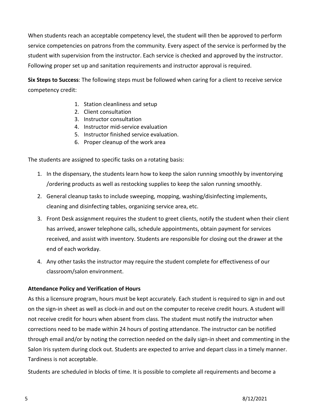When students reach an acceptable competency level, the student will then be approved to perform service competencies on patrons from the community. Every aspect of the service is performed by the student with supervision from the instructor. Each service is checked and approved by the instructor. Following proper set up and sanitation requirements and instructor approval is required.

**Six Steps to Success**: The following steps must be followed when caring for a client to receive service competency credit:

- 1. Station cleanliness and setup
- 2. Client consultation
- 3. Instructor consultation
- 4. Instructor mid-service evaluation
- 5. Instructor finished service evaluation.
- 6. Proper cleanup of the work area

The students are assigned to specific tasks on a rotating basis:

- 1. In the dispensary, the students learn how to keep the salon running smoothly by inventorying /ordering products as well as restocking supplies to keep the salon running smoothly.
- 2. General cleanup tasks to include sweeping, mopping, washing/disinfecting implements, cleaning and disinfecting tables, organizing service area, etc.
- 3. Front Desk assignment requires the student to greet clients, notify the student when their client has arrived, answer telephone calls, schedule appointments, obtain payment for services received, and assist with inventory. Students are responsible for closing out the drawer at the end of each workday.
- 4. Any other tasks the instructor may require the student complete for effectiveness of our classroom/salon environment.

#### **Attendance Policy and Verification of Hours**

As this a licensure program, hours must be kept accurately. Each student is required to sign in and out on the sign-in sheet as well as clock-in and out on the computer to receive credit hours. A student will not receive credit for hours when absent from class. The student must notify the instructor when corrections need to be made within 24 hours of posting attendance. The instructor can be notified through email and/or by noting the correction needed on the daily sign-in sheet and commenting in the Salon Iris system during clock out. Students are expected to arrive and depart class in a timely manner. Tardiness is not acceptable.

Students are scheduled in blocks of time. It is possible to complete all requirements and become a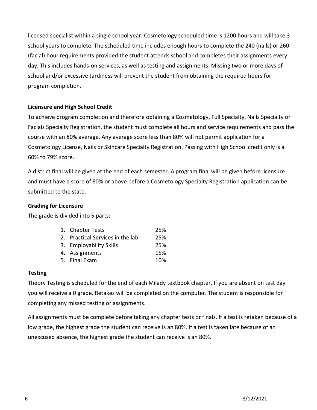licensed specialist within a single school year. Cosmetology scheduled time is 1200 hours and will take 3 school years to complete. The scheduled time includes enough hours to complete the 240 (nails) or 260 (facial) hour requirements provided the student attends school and completes their assignments every day. This includes hands-on services, as well as testing and assignments. Missing two or more days of school and/or excessive tardiness will prevent the student from obtaining the required hours for program completion.

# **Licensure and High School Credit**

To achieve program completion and therefore obtaining a Cosmetology, Full Specialty, Nails Specialty or Facials Specialty Registration, the student must complete all hours and service requirements and pass the course with an 80% average. Any average score less than 80% will not permit application for a Cosmetology License, Nails or Skincare Specialty Registration. Passing with High School credit only is a 60% to 79% score.

A district final will be given at the end of each semester. A program final will be given before licensure and must have a score of 80% or above before a Cosmetology Specialty Registration application can be submitted to the state.

#### **Grading for Licensure**

The grade is divided into 5 parts:

| 1. Chapter Tests                 | 25% |
|----------------------------------|-----|
| 2. Practical Services in the lab | 25% |
| 3. Employability Skills          | 25% |
| 4. Assignments                   | 15% |
| 5. Final Exam                    | 10% |

# **Testing**

Theory Testing is scheduled for the end of each Milady textbook chapter. If you are absent on test day you will receive a 0 grade. Retakes will be completed on the computer. The student is responsible for completing any missed testing or assignments.

All assignments must be complete before taking any chapter tests or finals. If a test is retaken because of a low grade, the highest grade the student can receive is an 80%. If a test is taken late because of an unexcused absence, the highest grade the student can receive is an 80%.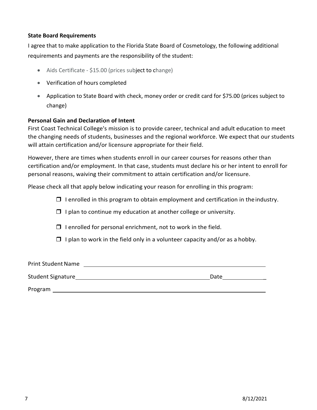#### **State Board Requirements**

I agree that to make application to the Florida State Board of Cosmetology, the following additional requirements and payments are the responsibility of the student:

- Aids Certificate \$15.00 (prices subject to change)
- Verification of hours completed
- Application to State Board with check, money order or credit card for \$75.00 (prices subject to change)

#### **Personal Gain and Declaration of Intent**

First Coast Technical College's mission is to provide career, technical and adult education to meet the changing needs of students, businesses and the regional workforce. We expect that our students will attain certification and/or licensure appropriate for their field.

However, there are times when students enroll in our career courses for reasons other than certification and/or employment. In that case, students must declare his or her intent to enroll for personal reasons, waiving their commitment to attain certification and/or licensure.

Please check all that apply below indicating your reason for enrolling in this program:

 $\Box$  I enrolled in this program to obtain employment and certification in the industry.

- $\Box$  I plan to continue my education at another college or university.
- $\Box$  I enrolled for personal enrichment, not to work in the field.
- $\Box$  I plan to work in the field only in a volunteer capacity and/or as a hobby.

| <b>Print Student Name</b> |      |  |
|---------------------------|------|--|
| <b>Student Signature</b>  | Date |  |

Program